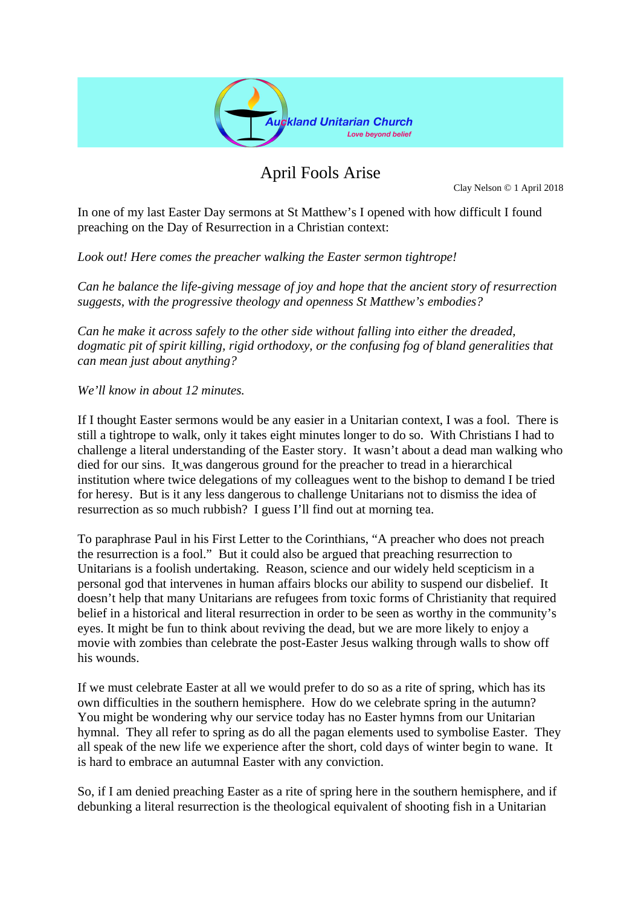

## April Fools Arise

Clay Nelson © 1 April 2018

In one of my last Easter Day sermons at St Matthew's I opened with how difficult I found preaching on the Day of Resurrection in a Christian context:

*Look out! Here comes the preacher walking the Easter sermon tightrope!* 

*Can he balance the life-giving message of joy and hope that the ancient story of resurrection suggests, with the progressive theology and openness St Matthew's embodies?* 

*Can he make it across safely to the other side without falling into either the dreaded, dogmatic pit of spirit killing, rigid orthodoxy, or the confusing fog of bland generalities that can mean just about anything?*

*We'll know in about 12 minutes.*

If I thought Easter sermons would be any easier in a Unitarian context, I was a fool. There is still a tightrope to walk, only it takes eight minutes longer to do so. With Christians I had to challenge a literal understanding of the Easter story. It wasn't about a dead man walking who died for our sins. It was dangerous ground for the preacher to tread in a hierarchical institution where twice delegations of my colleagues went to the bishop to demand I be tried for heresy. But is it any less dangerous to challenge Unitarians not to dismiss the idea of resurrection as so much rubbish? I guess I'll find out at morning tea.

To paraphrase Paul in his First Letter to the Corinthians, "A preacher who does not preach the resurrection is a fool." But it could also be argued that preaching resurrection to Unitarians is a foolish undertaking. Reason, science and our widely held scepticism in a personal god that intervenes in human affairs blocks our ability to suspend our disbelief. It doesn't help that many Unitarians are refugees from toxic forms of Christianity that required belief in a historical and literal resurrection in order to be seen as worthy in the community's eyes. It might be fun to think about reviving the dead, but we are more likely to enjoy a movie with zombies than celebrate the post-Easter Jesus walking through walls to show off his wounds.

If we must celebrate Easter at all we would prefer to do so as a rite of spring, which has its own difficulties in the southern hemisphere. How do we celebrate spring in the autumn? You might be wondering why our service today has no Easter hymns from our Unitarian hymnal. They all refer to spring as do all the pagan elements used to symbolise Easter. They all speak of the new life we experience after the short, cold days of winter begin to wane. It is hard to embrace an autumnal Easter with any conviction.

So, if I am denied preaching Easter as a rite of spring here in the southern hemisphere, and if debunking a literal resurrection is the theological equivalent of shooting fish in a Unitarian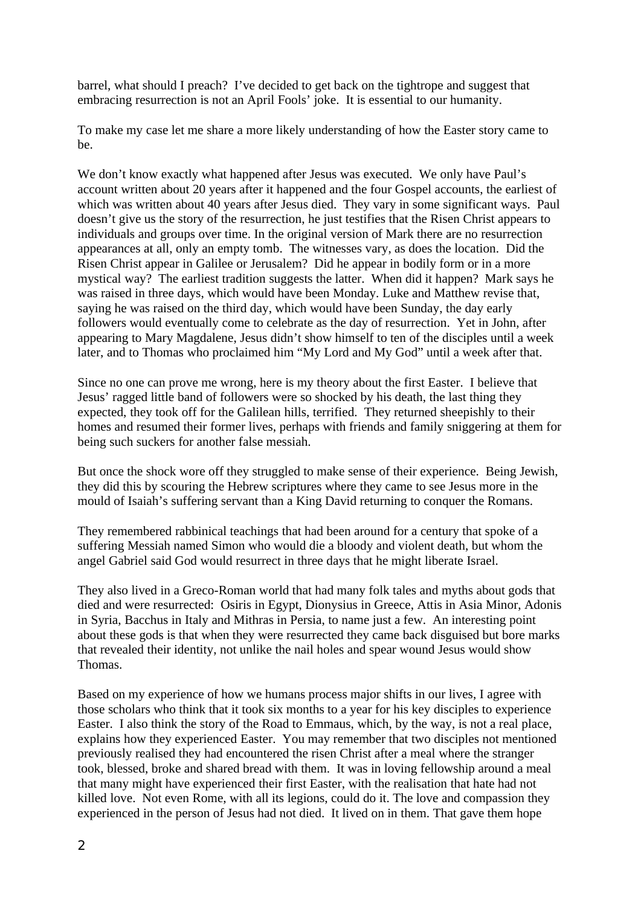barrel, what should I preach? I've decided to get back on the tightrope and suggest that embracing resurrection is not an April Fools' joke. It is essential to our humanity.

To make my case let me share a more likely understanding of how the Easter story came to be.

We don't know exactly what happened after Jesus was executed. We only have Paul's account written about 20 years after it happened and the four Gospel accounts, the earliest of which was written about 40 years after Jesus died. They vary in some significant ways. Paul doesn't give us the story of the resurrection, he just testifies that the Risen Christ appears to individuals and groups over time. In the original version of Mark there are no resurrection appearances at all, only an empty tomb. The witnesses vary, as does the location. Did the Risen Christ appear in Galilee or Jerusalem? Did he appear in bodily form or in a more mystical way? The earliest tradition suggests the latter. When did it happen? Mark says he was raised in three days, which would have been Monday. Luke and Matthew revise that, saying he was raised on the third day, which would have been Sunday, the day early followers would eventually come to celebrate as the day of resurrection. Yet in John, after appearing to Mary Magdalene, Jesus didn't show himself to ten of the disciples until a week later, and to Thomas who proclaimed him "My Lord and My God" until a week after that.

Since no one can prove me wrong, here is my theory about the first Easter. I believe that Jesus' ragged little band of followers were so shocked by his death, the last thing they expected, they took off for the Galilean hills, terrified. They returned sheepishly to their homes and resumed their former lives, perhaps with friends and family sniggering at them for being such suckers for another false messiah.

But once the shock wore off they struggled to make sense of their experience. Being Jewish, they did this by scouring the Hebrew scriptures where they came to see Jesus more in the mould of Isaiah's suffering servant than a King David returning to conquer the Romans.

They remembered rabbinical teachings that had been around for a century that spoke of a suffering Messiah named Simon who would die a bloody and violent death, but whom the angel Gabriel said God would resurrect in three days that he might liberate Israel.

They also lived in a Greco-Roman world that had many folk tales and myths about gods that died and were resurrected: Osiris in Egypt, Dionysius in Greece, Attis in Asia Minor, Adonis in Syria, Bacchus in Italy and Mithras in Persia, to name just a few. An interesting point about these gods is that when they were resurrected they came back disguised but bore marks that revealed their identity, not unlike the nail holes and spear wound Jesus would show Thomas.

Based on my experience of how we humans process major shifts in our lives, I agree with those scholars who think that it took six months to a year for his key disciples to experience Easter. I also think the story of the Road to Emmaus, which, by the way, is not a real place, explains how they experienced Easter. You may remember that two disciples not mentioned previously realised they had encountered the risen Christ after a meal where the stranger took, blessed, broke and shared bread with them. It was in loving fellowship around a meal that many might have experienced their first Easter, with the realisation that hate had not killed love. Not even Rome, with all its legions, could do it. The love and compassion they experienced in the person of Jesus had not died. It lived on in them. That gave them hope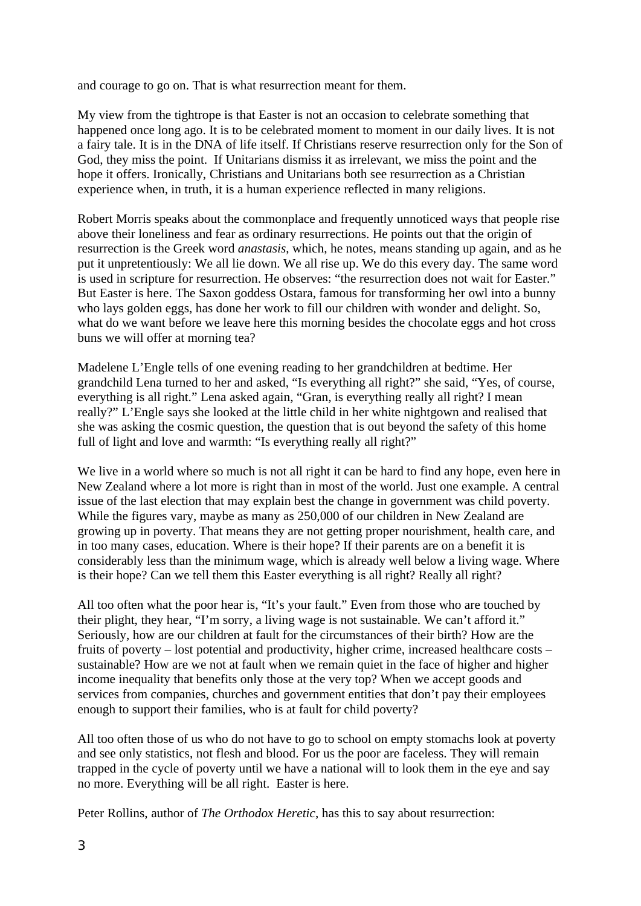and courage to go on. That is what resurrection meant for them.

My view from the tightrope is that Easter is not an occasion to celebrate something that happened once long ago. It is to be celebrated moment to moment in our daily lives. It is not a fairy tale. It is in the DNA of life itself. If Christians reserve resurrection only for the Son of God, they miss the point. If Unitarians dismiss it as irrelevant, we miss the point and the hope it offers. Ironically, Christians and Unitarians both see resurrection as a Christian experience when, in truth, it is a human experience reflected in many religions.

Robert Morris speaks about the commonplace and frequently unnoticed ways that people rise above their loneliness and fear as ordinary resurrections. He points out that the origin of resurrection is the Greek word *anastasis*, which, he notes, means standing up again, and as he put it unpretentiously: We all lie down. We all rise up. We do this every day. The same word is used in scripture for resurrection. He observes: "the resurrection does not wait for Easter." But Easter is here. The Saxon goddess Ostara, famous for transforming her owl into a bunny who lays golden eggs, has done her work to fill our children with wonder and delight. So, what do we want before we leave here this morning besides the chocolate eggs and hot cross buns we will offer at morning tea?

Madelene L'Engle tells of one evening reading to her grandchildren at bedtime. Her grandchild Lena turned to her and asked, "Is everything all right?" she said, "Yes, of course, everything is all right." Lena asked again, "Gran, is everything really all right? I mean really?" L'Engle says she looked at the little child in her white nightgown and realised that she was asking the cosmic question, the question that is out beyond the safety of this home full of light and love and warmth: "Is everything really all right?"

We live in a world where so much is not all right it can be hard to find any hope, even here in New Zealand where a lot more is right than in most of the world. Just one example. A central issue of the last election that may explain best the change in government was child poverty. While the figures vary, maybe as many as 250,000 of our children in New Zealand are growing up in poverty. That means they are not getting proper nourishment, health care, and in too many cases, education. Where is their hope? If their parents are on a benefit it is considerably less than the minimum wage, which is already well below a living wage. Where is their hope? Can we tell them this Easter everything is all right? Really all right?

All too often what the poor hear is, "It's your fault." Even from those who are touched by their plight, they hear, "I'm sorry, a living wage is not sustainable. We can't afford it." Seriously, how are our children at fault for the circumstances of their birth? How are the fruits of poverty – lost potential and productivity, higher crime, increased healthcare costs – sustainable? How are we not at fault when we remain quiet in the face of higher and higher income inequality that benefits only those at the very top? When we accept goods and services from companies, churches and government entities that don't pay their employees enough to support their families, who is at fault for child poverty?

All too often those of us who do not have to go to school on empty stomachs look at poverty and see only statistics, not flesh and blood. For us the poor are faceless. They will remain trapped in the cycle of poverty until we have a national will to look them in the eye and say no more. Everything will be all right. Easter is here.

Peter Rollins, author of *The Orthodox Heretic*, has this to say about resurrection: